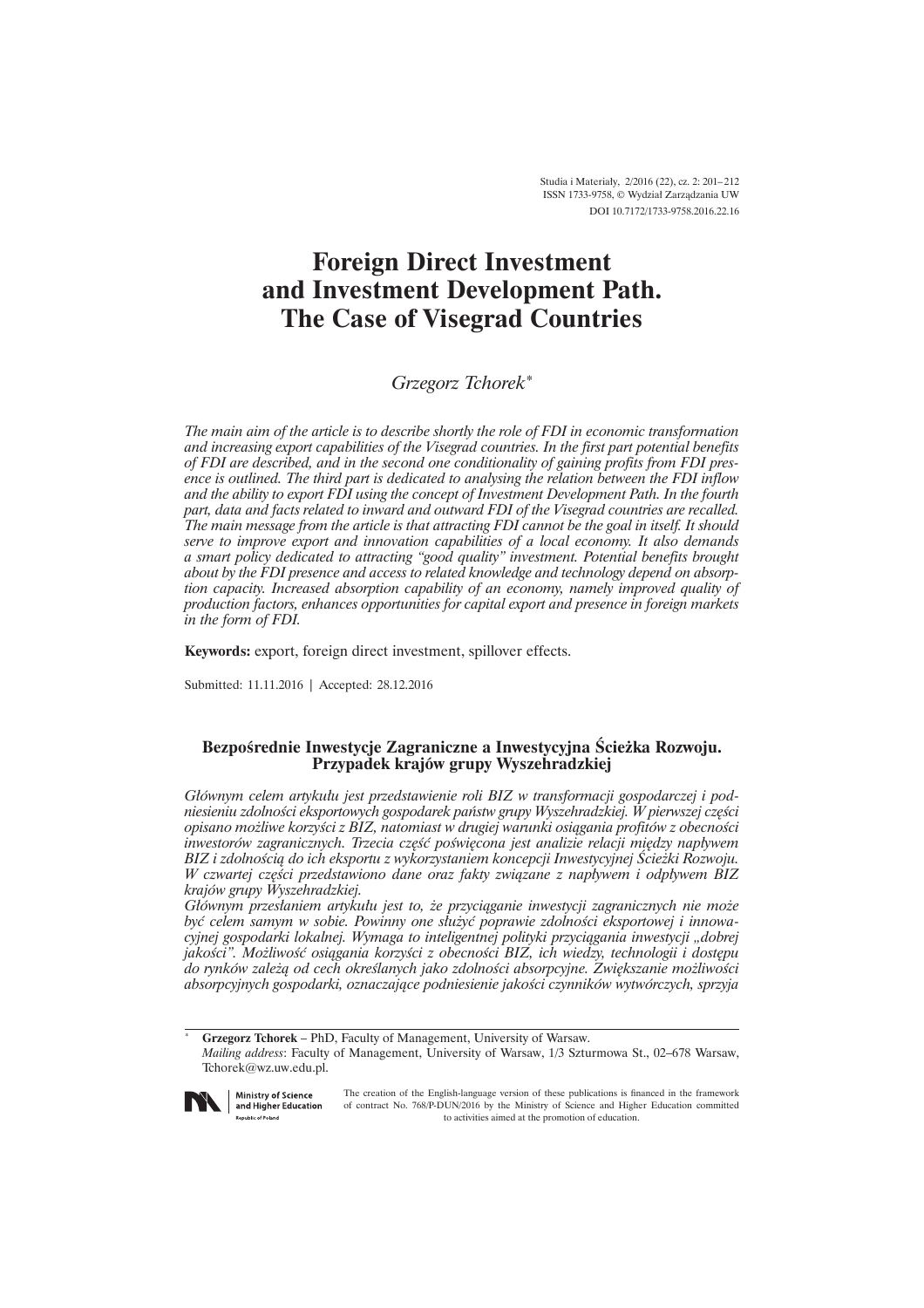# **Foreign Direct Investment and Investment Development Path. The Case of Visegrad Countries**

*Grzegorz Tchorek\**

*The main aim of the article is to describe shortly the role of FDI in economic transformation and increasing export capabilities of the Visegrad countries. In the first part potential benefits of FDI are described, and in the second one conditionality of gaining profits from FDI presence is outlined. The third part is dedicated to analysing the relation between the FDI inflow and the ability to export FDI using the concept of Investment Development Path. In the fourth part, data and facts related to inward and outward FDI of the Visegrad countries are recalled. The main message from the article is that attracting FDI cannot be the goal in itself. It should serve to improve export and innovation capabilities of a local economy. It also demands a smart policy dedicated to attracting "good quality" investment. Potential benefits brought about by the FDI presence and access to related knowledge and technology depend on absorption capacity. Increased absorption capability of an economy, namely improved quality of production factors, enhances opportunities for capital export and presence in foreign markets in the form of FDI.* 

**Keywords:** export, foreign direct investment, spillover effects.

Submitted: 11.11.2016 | Accepted: 28.12.2016

## **BezpoĂrednie Inwestycje Zagraniczne a Inwestycyjna ¥cieĝka Rozwoju. Przypadek krajów grupy Wyszehradzkiej**

*Gïównym celem artykuïu jest przedstawienie roli BIZ w transformacji gospodarczej i podniesieniu zdolności eksportowych gospodarek państw grupy Wyszehradzkiej. W pierwszej części opisano moĝliwe korzyĂci z BIZ, natomiast w drugiej warunki osiÈgania profitów z obecnoĂci inwestorów zagranicznych. Trzecia część poświęcona jest analizie relacji między napływem BIZ i zdolnoĂciÈ do ich eksportu z wykorzystaniem koncepcji Inwestycyjnej ¥cieĝki Rozwoju. W* czwartej części przedstawiono dane oraz fakty związane z napływem i odpływem BIZ *krajów grupy Wyszehradzkiej.* 

*Gïównym przesïaniem artykuïu jest to, ĝe przyciÈganie inwestycji zagranicznych nie moĝe byÊ celem samym w sobie. Powinny one sïuĝyÊ poprawie zdolnoĂci eksportowej i innowacyjnej gospodarki lokalnej. Wymaga to inteligentnej polityki przyciÈgania inwestycji "dobrej jakoĂci". MoĝliwoĂÊ osiÈgania korzyĂci z obecnoĂci BIZ, ich wiedzy, technologii i dostÚpu do rynków zaleĝÈ od cech okreĂlanych jako zdolnoĂci absorpcyjne. ZwiÚkszanie moĝliwoĂci absorpcyjnych gospodarki, oznaczajÈce podniesienie jakoĂci czynników wytwórczych, sprzyja* 

\* **Grzegorz Tchorek** – PhD, Faculty of Management, University of Warsaw.

*Mailing address*: Faculty of Management, University of Warsaw, 1/3 Szturmowa St., 02–678 Warsaw, Tchorek@wz.uw.edu.pl.



Ministry of Science and Higher Education **Republic of Poland** 

The creation of the English-language version of these publications is financed in the framework of contract No. 768/P-DUN/2016 by the Ministry of Science and Higher Education committed to activities aimed at the promotion of education.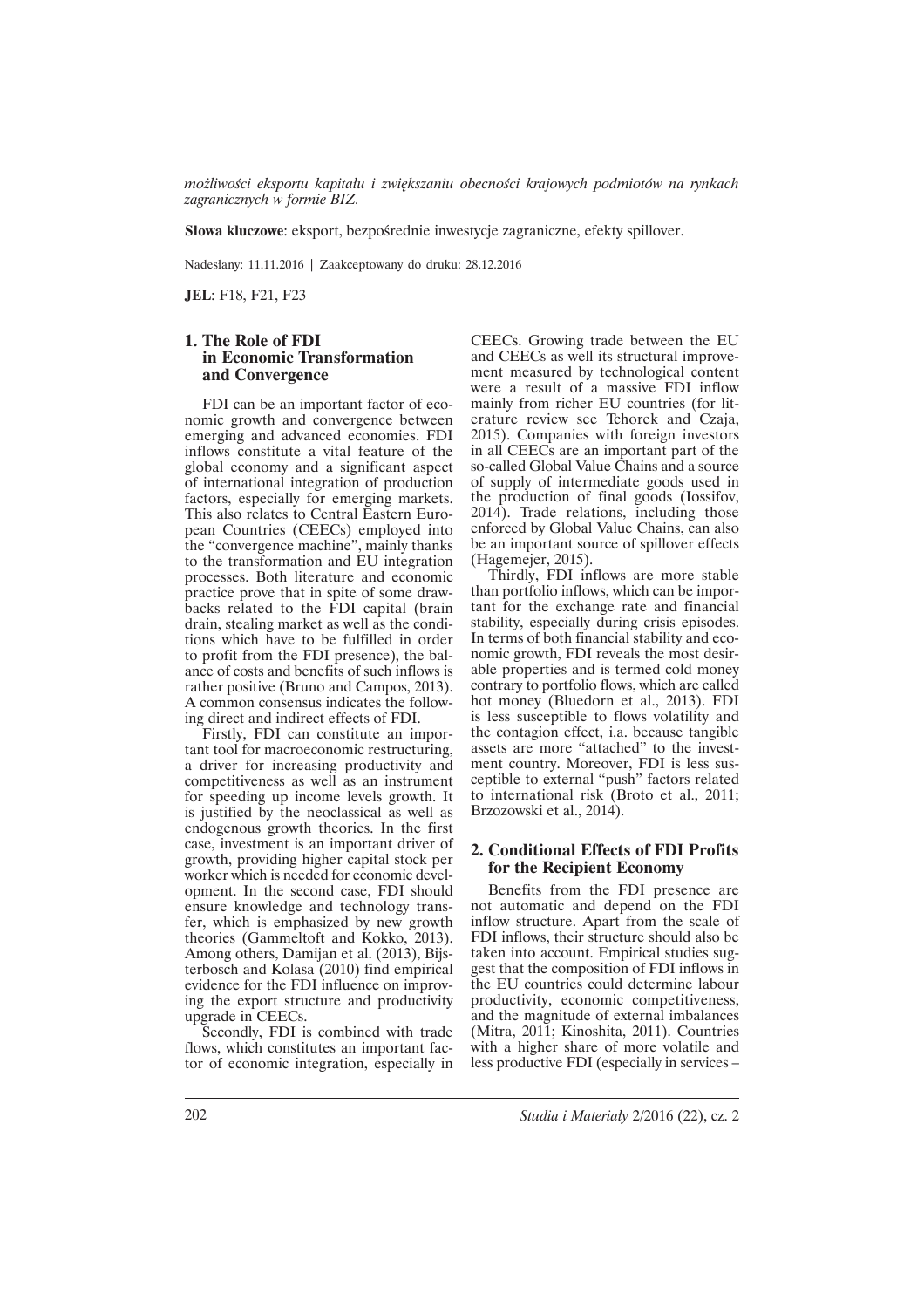*moĝliwoĂci eksportu kapitaïu i zwiÚkszaniu obecnoĂci krajowych podmiotów na rynkach zagranicznych w formie BIZ.* 

**Słowa kluczowe:** eksport, bezpośrednie inwestycje zagraniczne, efekty spillover.

Nadesïany: 11.11.2016 | Zaakceptowany do druku: 28.12.2016

**JEL**: F18, F21, F23

### **1. The Role of FDI in Economic Transformation and Convergence**

FDI can be an important factor of economic growth and convergence between emerging and advanced economies. FDI inflows constitute a vital feature of the global economy and a significant aspect of international integration of production factors, especially for emerging markets. This also relates to Central Eastern European Countries (CEECs) employed into the "convergence machine", mainly thanks to the transformation and EU integration processes. Both literature and economic practice prove that in spite of some drawbacks related to the FDI capital (brain drain, stealing market as well as the conditions which have to be fulfilled in order to profit from the FDI presence), the balance of costs and benefits of such inflows is rather positive (Bruno and Campos, 2013). A common consensus indicates the following direct and indirect effects of FDI.

Firstly, FDI can constitute an important tool for macroeconomic restructuring, a driver for increasing productivity and competitiveness as well as an instrument for speeding up income levels growth. It is justified by the neoclassical as well as endogenous growth theories. In the first case, investment is an important driver of growth, providing higher capital stock per worker which is needed for economic development. In the second case, FDI should ensure knowledge and technology transfer, which is emphasized by new growth theories (Gammeltoft and Kokko, 2013). Among others, Damijan et al. (2013), Bijsterbosch and Kolasa (2010) find empirical evidence for the FDI influence on improving the export structure and productivity upgrade in CEECs.

Secondly, FDI is combined with trade flows, which constitutes an important factor of economic integration, especially in

CEECs. Growing trade between the EU and CEECs as well its structural improvement measured by technological content were a result of a massive FDI inflow mainly from richer EU countries (for literature review see Tchorek and Czaja, 2015). Companies with foreign investors in all CEECs are an important part of the so-called Global Value Chains and a source of supply of intermediate goods used in the production of final goods (Iossifov, 2014). Trade relations, including those enforced by Global Value Chains, can also be an important source of spillover effects (Hagemejer, 2015).

Thirdly, FDI inflows are more stable than portfolio inflows, which can be important for the exchange rate and financial stability, especially during crisis episodes. In terms of both financial stability and economic growth, FDI reveals the most desirable properties and is termed cold money contrary to portfolio flows, which are called hot money (Bluedorn et al., 2013). FDI is less susceptible to flows volatility and the contagion effect, i.a. because tangible assets are more "attached" to the investment country. Moreover, FDI is less susceptible to external "push" factors related to international risk (Broto et al., 2011; Brzozowski et al., 2014).

### **2. Conditional Effects of FDI Profits for the Recipient Economy**

Benefits from the FDI presence are not automatic and depend on the FDI inflow structure. Apart from the scale of FDI inflows, their structure should also be taken into account. Empirical studies suggest that the composition of FDI inflows in the EU countries could determine labour productivity, economic competitiveness, and the magnitude of external imbalances (Mitra, 2011; Kinoshita, 2011). Countries with a higher share of more volatile and less productive FDI (especially in services –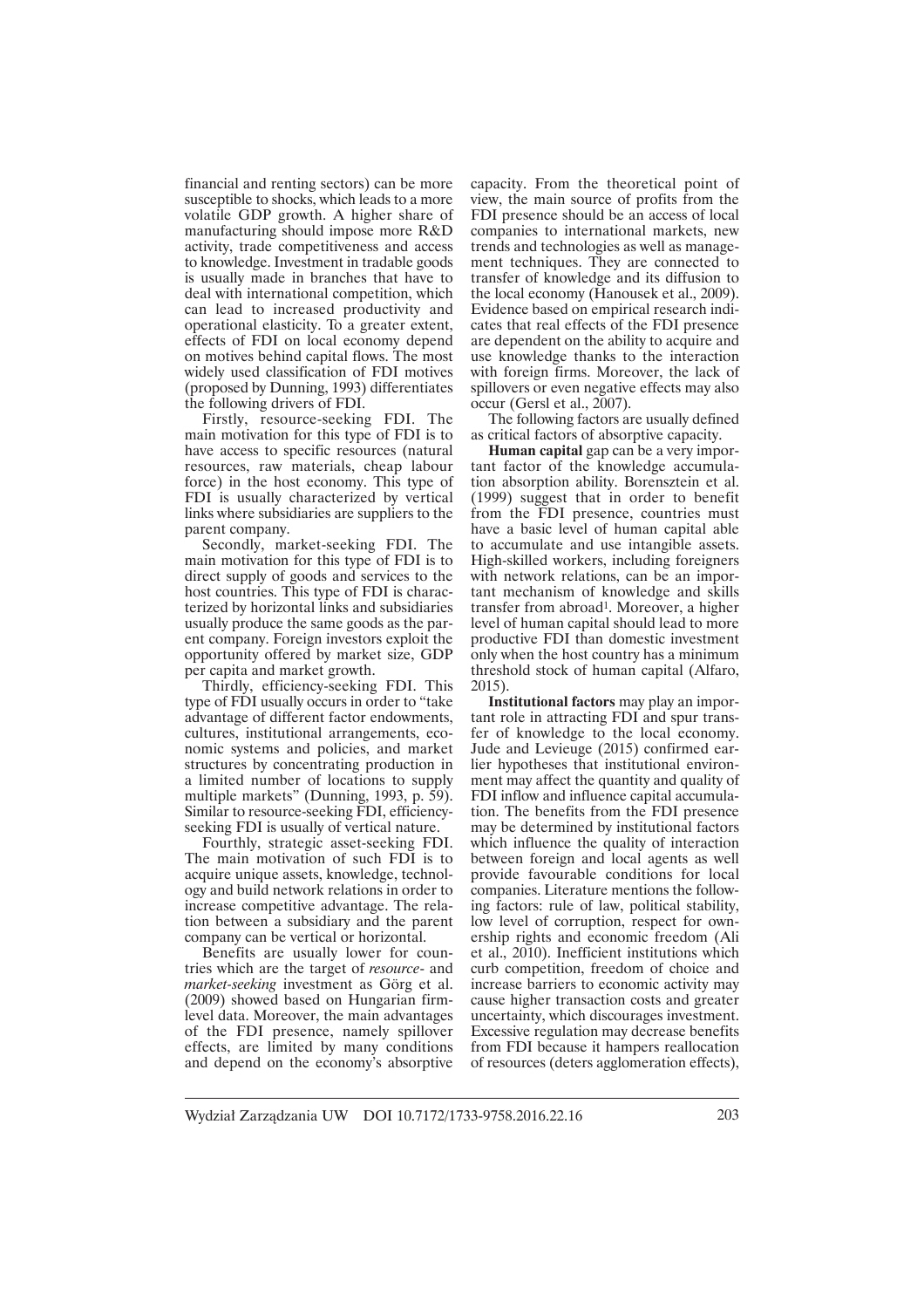financial and renting sectors) can be more susceptible to shocks, which leads to a more volatile GDP growth. A higher share of manufacturing should impose more R&D activity, trade competitiveness and access to knowledge. Investment in tradable goods is usually made in branches that have to deal with international competition, which can lead to increased productivity and operational elasticity. To a greater extent, effects of FDI on local economy depend on motives behind capital flows. The most widely used classification of FDI motives (proposed by Dunning, 1993) differentiates the following drivers of FDI.

Firstly, resource-seeking FDI. The main motivation for this type of FDI is to have access to specific resources (natural resources, raw materials, cheap labour force) in the host economy. This type of FDI is usually characterized by vertical links where subsidiaries are suppliers to the parent company.

Secondly, market-seeking FDI. The main motivation for this type of FDI is to direct supply of goods and services to the host countries. This type of FDI is characterized by horizontal links and subsidiaries usually produce the same goods as the parent company. Foreign investors exploit the opportunity offered by market size, GDP per capita and market growth.

Thirdly, efficiency-seeking FDI. This type of FDI usually occurs in order to "take advantage of different factor endowments, cultures, institutional arrangements, economic systems and policies, and market structures by concentrating production in a limited number of locations to supply multiple markets" (Dunning, 1993, p. 59). Similar to resource-seeking FDI, efficiencyseeking FDI is usually of vertical nature.

Fourthly, strategic asset-seeking FDI. The main motivation of such FDI is to acquire unique assets, knowledge, technology and build network relations in order to increase competitive advantage. The relation between a subsidiary and the parent company can be vertical or horizontal.

Benefits are usually lower for countries which are the target of *resource*- and *market-seeking* investment as Görg et al. (2009) showed based on Hungarian firmlevel data. Moreover, the main advantages of the FDI presence, namely spillover effects, are limited by many conditions and depend on the economy's absorptive

capacity. From the theoretical point of view, the main source of profits from the FDI presence should be an access of local companies to international markets, new trends and technologies as well as management techniques. They are connected to transfer of knowledge and its diffusion to the local economy (Hanousek et al., 2009). Evidence based on empirical research indicates that real effects of the FDI presence are dependent on the ability to acquire and use knowledge thanks to the interaction with foreign firms. Moreover, the lack of spillovers or even negative effects may also occur (Gersl et al., 2007).

The following factors are usually defined as critical factors of absorptive capacity.

**Human capital** gap can be a very important factor of the knowledge accumulation absorption ability. Borensztein et al. (1999) suggest that in order to benefit from the FDI presence, countries must have a basic level of human capital able to accumulate and use intangible assets. High-skilled workers, including foreigners with network relations, can be an important mechanism of knowledge and skills transfer from abroad<sup>1</sup>. Moreover, a higher level of human capital should lead to more productive FDI than domestic investment only when the host country has a minimum threshold stock of human capital (Alfaro, 2015).

**Institutional factors** may play an important role in attracting FDI and spur transfer of knowledge to the local economy. Jude and Levieuge (2015) confirmed earlier hypotheses that institutional environment may affect the quantity and quality of FDI inflow and influence capital accumulation. The benefits from the FDI presence may be determined by institutional factors which influence the quality of interaction between foreign and local agents as well provide favourable conditions for local companies. Literature mentions the following factors: rule of law, political stability, low level of corruption, respect for ownership rights and economic freedom (Ali et al., 2010). Inefficient institutions which curb competition, freedom of choice and increase barriers to economic activity may cause higher transaction costs and greater uncertainty, which discourages investment. Excessive regulation may decrease benefits from FDI because it hampers reallocation of resources (deters agglomeration effects),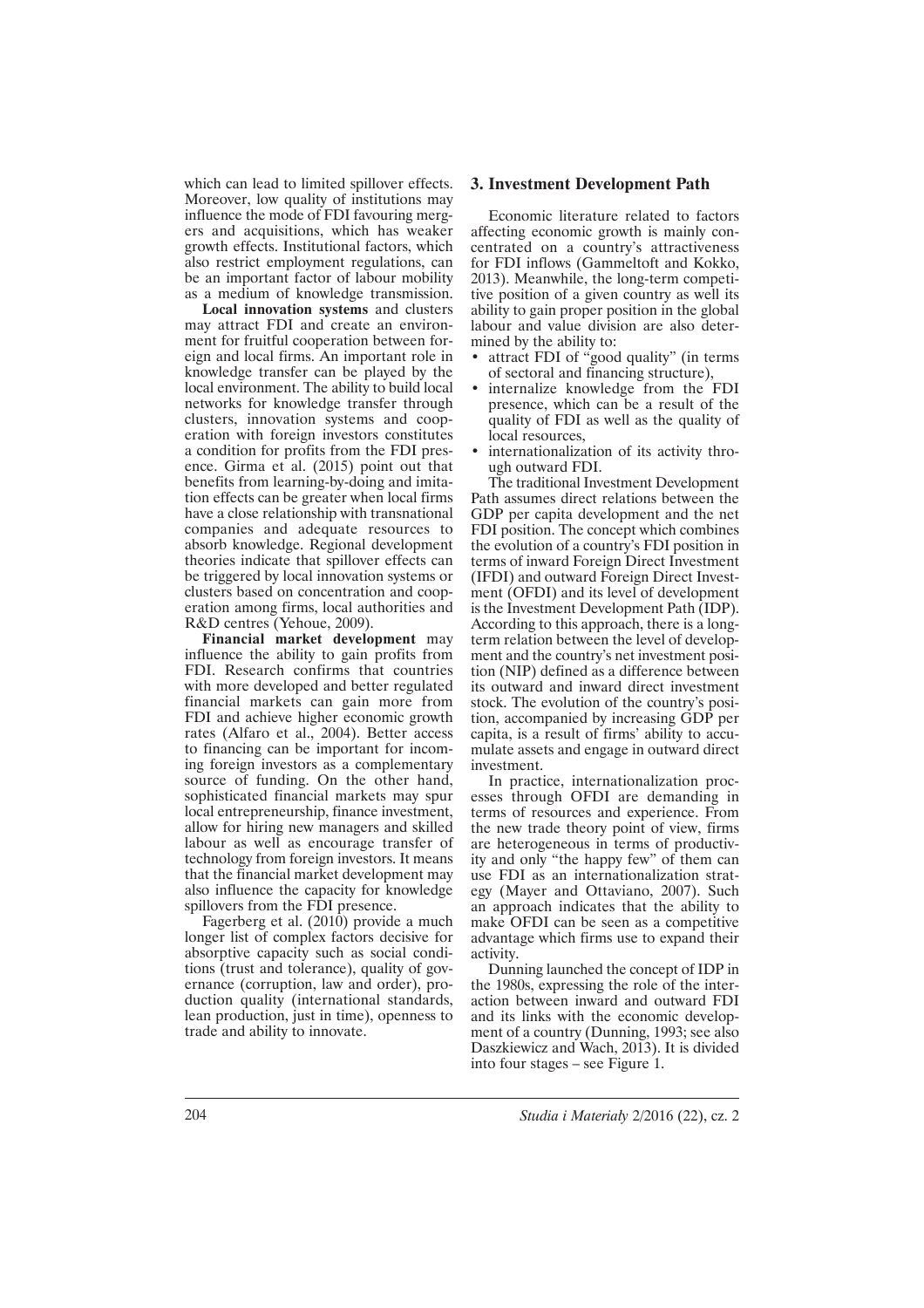which can lead to limited spillover effects. Moreover, low quality of institutions may influence the mode of FDI favouring mergers and acquisitions, which has weaker growth effects. Institutional factors, which also restrict employment regulations, can be an important factor of labour mobility as a medium of knowledge transmission.

**Local innovation systems** and clusters may attract FDI and create an environment for fruitful cooperation between foreign and local firms. An important role in knowledge transfer can be played by the local environment. The ability to build local networks for knowledge transfer through clusters, innovation systems and cooperation with foreign investors constitutes a condition for profits from the FDI presence. Girma et al. (2015) point out that benefits from learning-by-doing and imitation effects can be greater when local firms have a close relationship with transnational companies and adequate resources to absorb knowledge. Regional development theories indicate that spillover effects can be triggered by local innovation systems or clusters based on concentration and cooperation among firms, local authorities and R&D centres (Yehoue, 2009).

**Financial market development** may influence the ability to gain profits from FDI. Research confirms that countries with more developed and better regulated financial markets can gain more from FDI and achieve higher economic growth rates (Alfaro et al., 2004). Better access to financing can be important for incoming foreign investors as a complementary source of funding. On the other hand, sophisticated financial markets may spur local entrepreneurship, finance investment, allow for hiring new managers and skilled labour as well as encourage transfer of technology from foreign investors. It means that the financial market development may also influence the capacity for knowledge spillovers from the FDI presence.

Fagerberg et al. (2010) provide a much longer list of complex factors decisive for absorptive capacity such as social conditions (trust and tolerance), quality of governance (corruption, law and order), production quality (international standards, lean production, just in time), openness to trade and ability to innovate.

#### **3. Investment Development Path**

Economic literature related to factors affecting economic growth is mainly concentrated on a country's attractiveness for FDI inflows (Gammeltoft and Kokko, 2013). Meanwhile, the long-term competitive position of a given country as well its ability to gain proper position in the global labour and value division are also determined by the ability to:

- attract FDI of "good quality" (in terms of sectoral and financing structure),
- internalize knowledge from the FDI presence, which can be a result of the quality of FDI as well as the quality of local resources.
- internationalization of its activity through outward FDI.

The traditional Investment Development Path assumes direct relations between the GDP per capita development and the net FDI position. The concept which combines the evolution of a country's FDI position in terms of inward Foreign Direct Investment (IFDI) and outward Foreign Direct Investment (OFDI) and its level of development is the Investment Development Path (IDP). According to this approach, there is a longterm relation between the level of development and the country's net investment position (NIP) defined as a difference between its outward and inward direct investment stock. The evolution of the country's position, accompanied by increasing GDP per capita, is a result of firms' ability to accumulate assets and engage in outward direct investment.

In practice, internationalization processes through OFDI are demanding in terms of resources and experience. From the new trade theory point of view, firms are heterogeneous in terms of productivity and only "the happy few" of them can use FDI as an internationalization strategy (Mayer and Ottaviano, 2007). Such an approach indicates that the ability to make OFDI can be seen as a competitive advantage which firms use to expand their activity.

Dunning launched the concept of IDP in the 1980s, expressing the role of the interaction between inward and outward FDI and its links with the economic development of a country (Dunning, 1993; see also Daszkiewicz and Wach, 2013). It is divided into four stages – see Figure 1.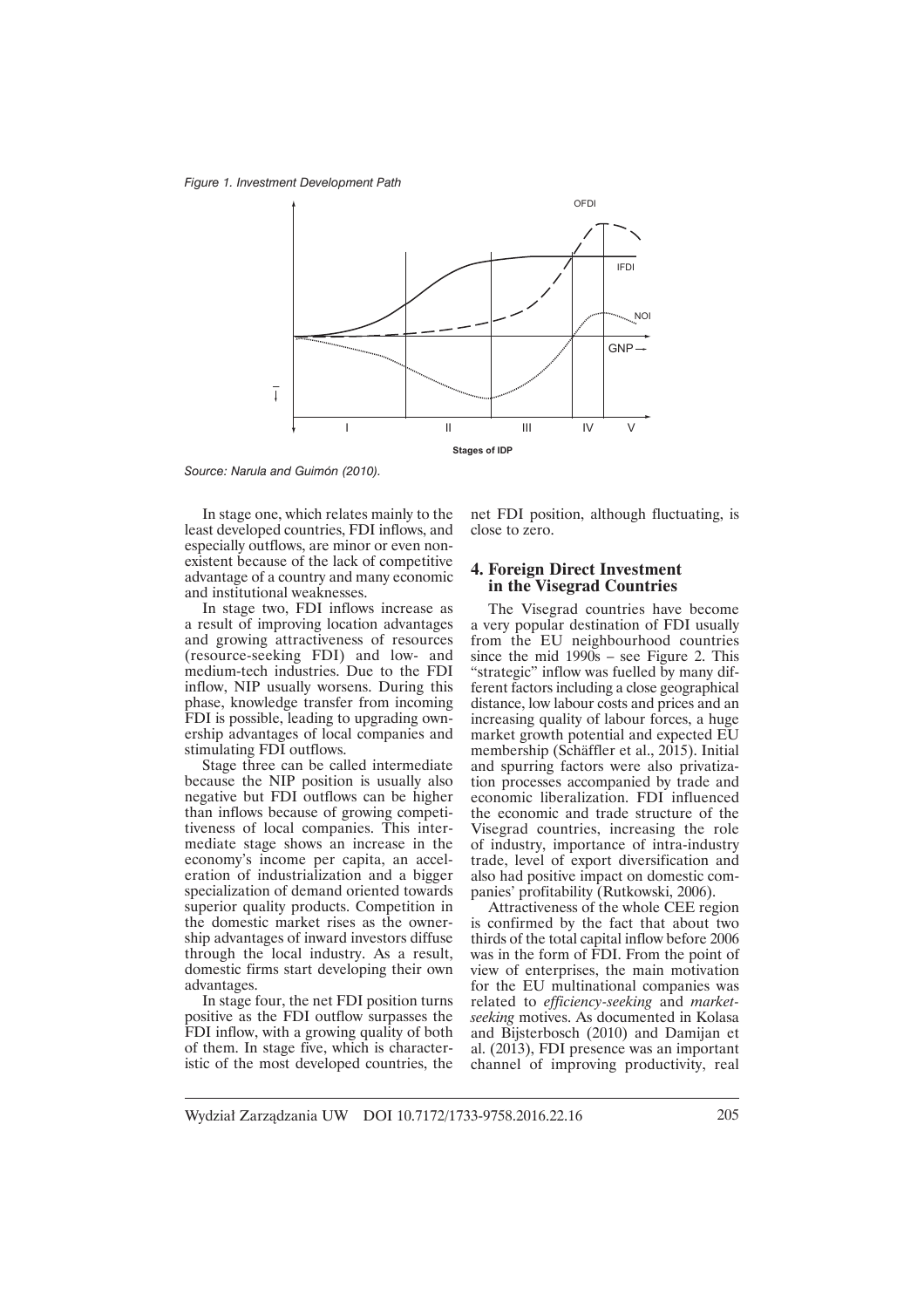*Figure 1. Investment Development Path* 



*Source: Narula and Guimón (2010).*

In stage one, which relates mainly to the least developed countries, FDI inflows, and especially outflows, are minor or even nonexistent because of the lack of competitive advantage of a country and many economic and institutional weaknesses.

In stage two, FDI inflows increase as a result of improving location advantages and growing attractiveness of resources (resource-seeking FDI) and low- and medium-tech industries. Due to the FDI inflow, NIP usually worsens. During this phase, knowledge transfer from incoming FDI is possible, leading to upgrading ownership advantages of local companies and stimulating FDI outflows.

Stage three can be called intermediate because the NIP position is usually also negative but FDI outflows can be higher than inflows because of growing competitiveness of local companies. This intermediate stage shows an increase in the economy's income per capita, an acceleration of industrialization and a bigger specialization of demand oriented towards superior quality products. Competition in the domestic market rises as the ownership advantages of inward investors diffuse through the local industry. As a result, domestic firms start developing their own advantages.

In stage four, the net FDI position turns positive as the FDI outflow surpasses the FDI inflow, with a growing quality of both of them. In stage five, which is characteristic of the most developed countries, the net FDI position, although fluctuating, is close to zero.

#### **4. Foreign Direct Investment in the Visegrad Countries**

The Visegrad countries have become a very popular destination of FDI usually from the EU neighbourhood countries since the mid  $1990s$  – see Figure 2. This "strategic" inflow was fuelled by many different factors including a close geographical distance, low labour costs and prices and an increasing quality of labour forces, a huge market growth potential and expected EU membership (Schäffler et al., 2015). Initial and spurring factors were also privatization processes accompanied by trade and economic liberalization. FDI influenced the economic and trade structure of the Visegrad countries, increasing the role of industry, importance of intra-industry trade, level of export diversification and also had positive impact on domestic companies' profitability (Rutkowski, 2006).

Attractiveness of the whole CEE region is confirmed by the fact that about two thirds of the total capital inflow before 2006 was in the form of FDI. From the point of view of enterprises, the main motivation for the EU multinational companies was related to *efficiency-seeking* and *marketseeking* motives. As documented in Kolasa and Bijsterbosch (2010) and Damijan et al. (2013), FDI presence was an important channel of improving productivity, real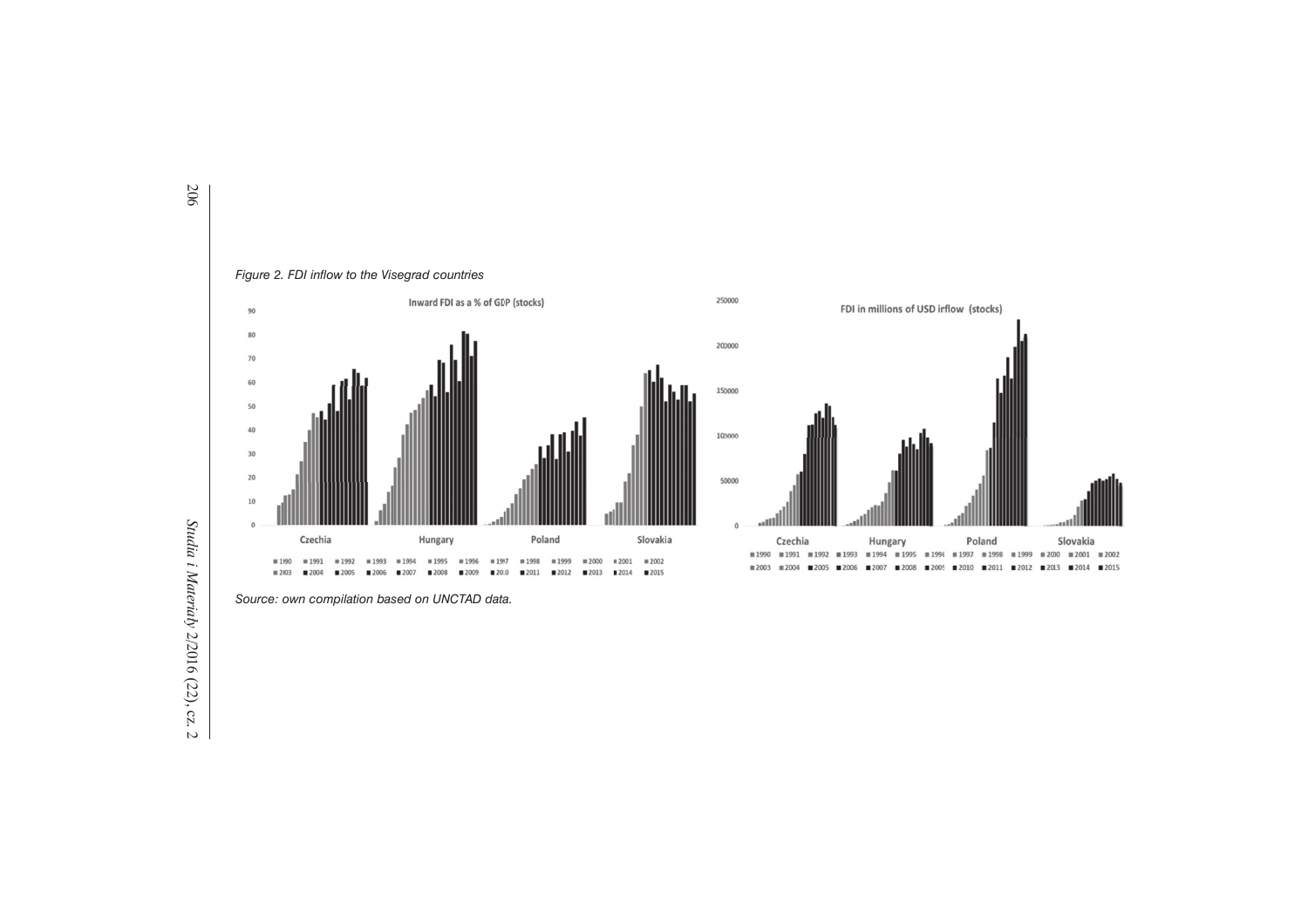

*Source: own compilation based on UNCTAD data.*

*Studia i Materia Studia i Materiały 2/2016 (22), cz. 2* 2/2016 (22), cz. 2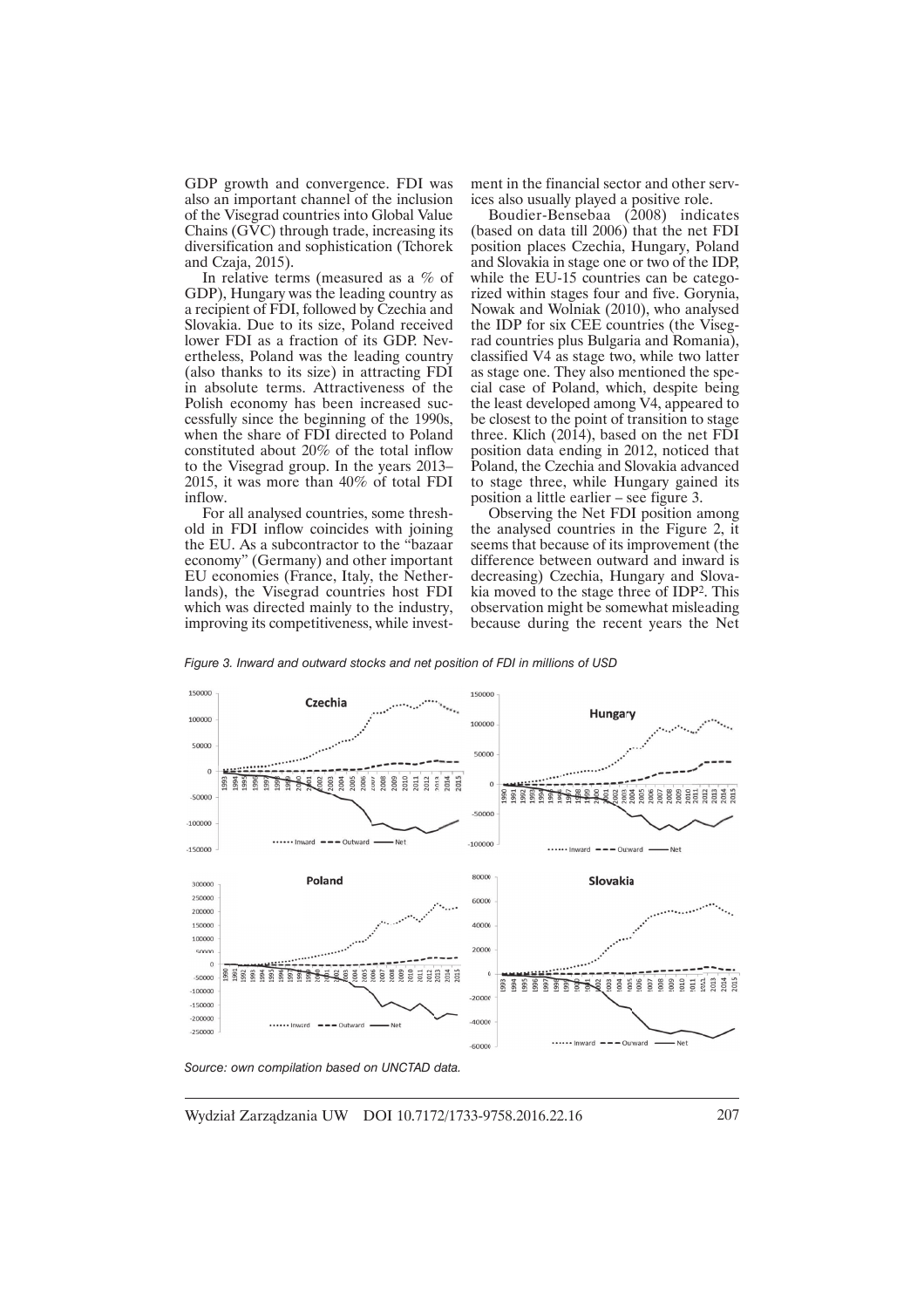GDP growth and convergence. FDI was also an important channel of the inclusion of the Visegrad countries into Global Value Chains  $(G\bar{V}C)$  through trade, increasing its diversification and sophistication (Tchorek and Czaja, 2015).

In relative terms (measured as a % of GDP), Hungary was the leading country as a recipient of FDI, followed by Czechia and Slovakia. Due to its size, Poland received lower FDI as a fraction of its GDP. Nevertheless, Poland was the leading country (also thanks to its size) in attracting FDI in absolute terms. Attractiveness of the Polish economy has been increased successfully since the beginning of the 1990s, when the share of FDI directed to Poland constituted about 20% of the total inflow to the Visegrad group. In the years 2013– 2015, it was more than 40% of total FDI inflow.

For all analysed countries, some threshold in FDI inflow coincides with joining the EU. As a subcontractor to the "bazaar economy" (Germany) and other important EU economies (France, Italy, the Netherlands), the Visegrad countries host FDI which was directed mainly to the industry, improving its competitiveness, while investment in the financial sector and other services also usually played a positive role.

Boudier-Bensebaa (2008) indicates (based on data till  $2006$ ) that the net FDI position places Czechia, Hungary, Poland and Slovakia in stage one or two of the IDP, while the EU-15 countries can be categorized within stages four and five. Gorynia, Nowak and Wolniak (2010), who analysed the IDP for six CEE countries (the Visegrad countries plus Bulgaria and Romania), classified V4 as stage two, while two latter as stage one. They also mentioned the special case of Poland, which, despite being the least developed among V4, appeared to be closest to the point of transition to stage three. Klich (2014), based on the net FDI position data ending in 2012, noticed that Poland, the Czechia and Slovakia advanced to stage three, while Hungary gained its position a little earlier – see figure 3.

Observing the Net FDI position among the analysed countries in the Figure 2, it seems that because of its improvement (the difference between outward and inward is decreasing) Czechia, Hungary and Slovakia moved to the stage three of IDP<sup>2</sup>. This observation might be somewhat misleading because during the recent years the Net

*Figure 3. Inward and outward stocks and net position of FDI in millions of USD* 



*Source: own compilation based on UNCTAD data.*

Wydział Zarzadzania UW DOI 10.7172/1733-9758.2016.22.16 207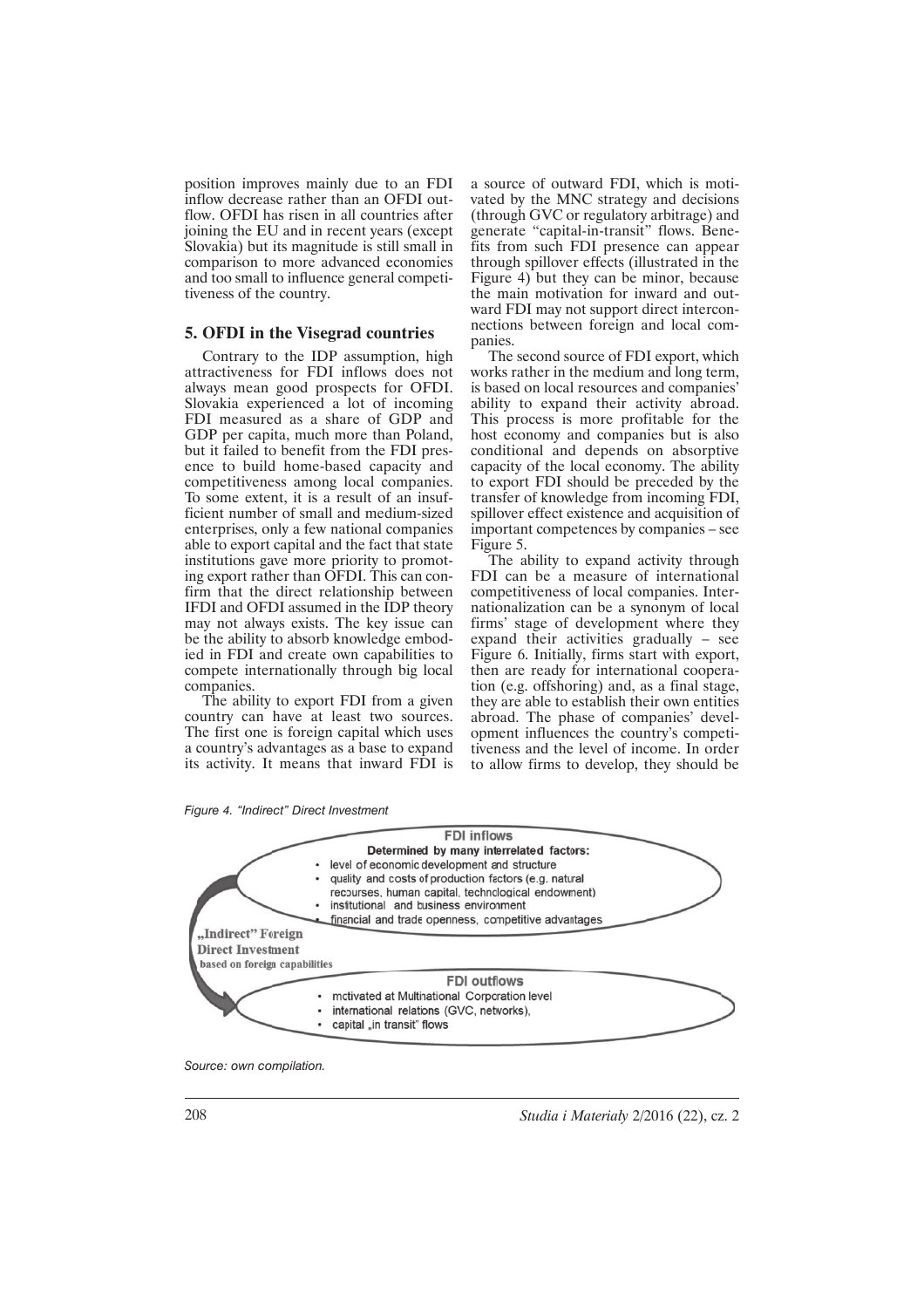position improves mainly due to an FDI inflow decrease rather than an OFDI outflow. OFDI has risen in all countries after joining the EU and in recent years (except Slovakia) but its magnitude is still small in comparison to more advanced economies and too small to influence general competitiveness of the country.

#### **5. OFDI in the Visegrad countries**

Contrary to the IDP assumption, high attractiveness for FDI inflows does not always mean good prospects for OFDI. Slovakia experienced a lot of incoming FDI measured as a share of GDP and GDP per capita, much more than Poland, but it failed to benefit from the FDI presence to build home-based capacity and competitiveness among local companies. To some extent, it is a result of an insufficient number of small and medium-sized enterprises, only a few national companies able to export capital and the fact that state institutions gave more priority to promoting export rather than OFDI. This can confirm that the direct relationship between IFDI and OFDI assumed in the IDP theory may not always exists. The key issue can be the ability to absorb knowledge embodied in FDI and create own capabilities to compete internationally through big local companies.

The ability to export FDI from a given country can have at least two sources. The first one is foreign capital which uses a country's advantages as a base to expand its activity. It means that inward FDI is a source of outward FDI, which is motivated by the MNC strategy and decisions (through GVC or regulatory arbitrage) and generate "capital-in-transit" flows. Benefits from such FDI presence can appear through spillover effects (illustrated in the Figure 4) but they can be minor, because the main motivation for inward and outward FDI may not support direct interconnections between foreign and local companies.

The second source of FDI export, which works rather in the medium and long term, is based on local resources and companies' ability to expand their activity abroad. This process is more profitable for the host economy and companies but is also conditional and depends on absorptive capacity of the local economy. The ability to export FDI should be preceded by the transfer of knowledge from incoming FDI, spillover effect existence and acquisition of important competences by companies – see Figure 5.

The ability to expand activity through FDI can be a measure of international competitiveness of local companies. Internationalization can be a synonym of local firms' stage of development where they expand their activities gradually – see Figure 6. Initially, firms start with export, then are ready for international cooperation (e.g. offshoring) and, as a final stage, they are able to establish their own entities abroad. The phase of companies' development influences the country's competitiveness and the level of income. In order to allow firms to develop, they should be

*Figure 4. "Indirect" Direct Investment* 



*Source: own compilation.* 

208 *Studia i Materiaïy* 2/2016 (22), cz. 2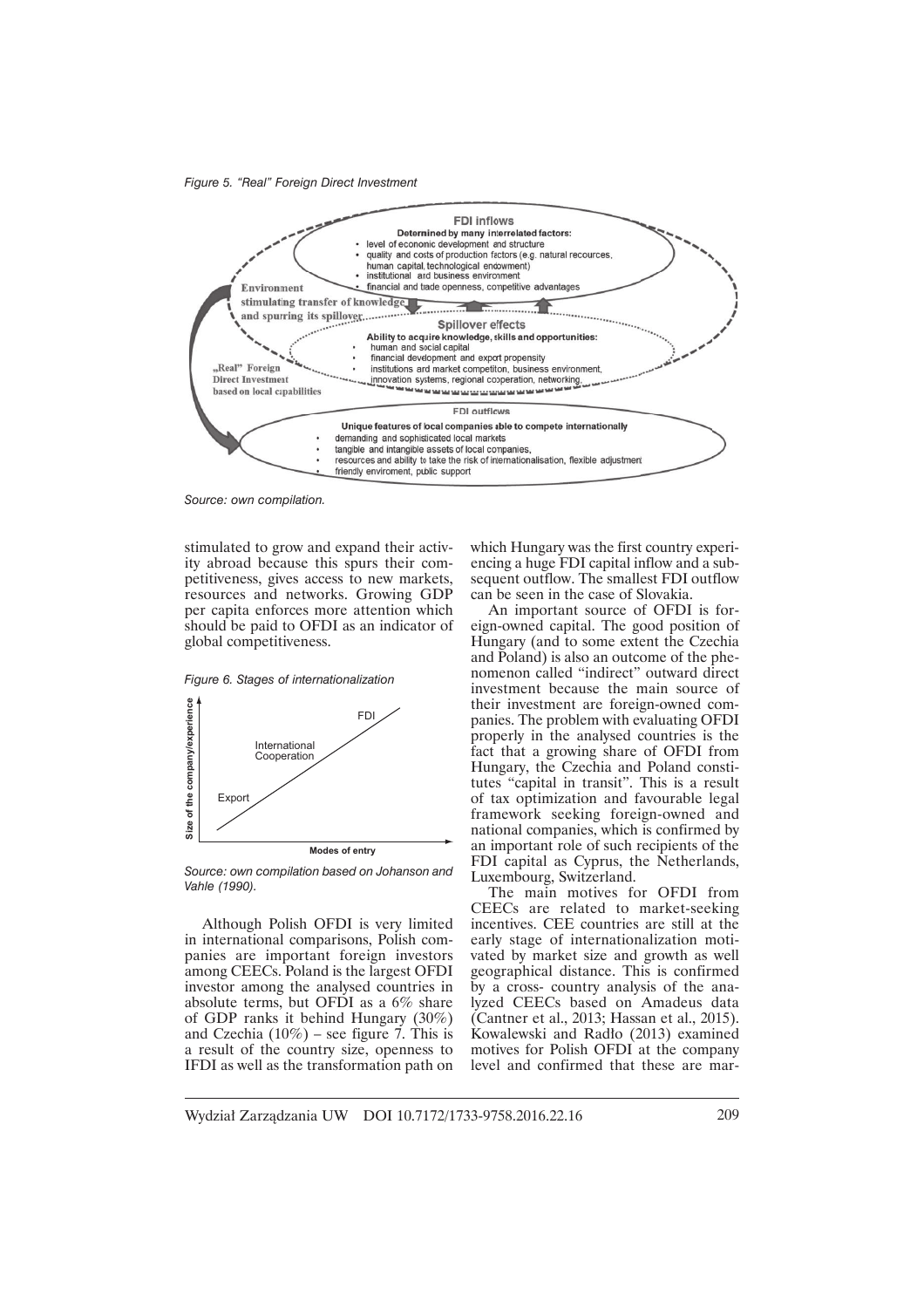*F igure 5. "Real" Foreign Direct Investment* 



*Source: own compilation.*

stimulated to grow and expand their activity abroad because this spurs their competitiveness, gives access to new markets, resources and networks. Growing GDP per capita enforces more attention which should be paid to OFDI as an indicator of global competitiveness.

*Figure 6. Stages of internationalization* 



*Source: own compilation based on Johanson and Vahle (1990).*

Although Polish OFDI is very limited in international comparisons, Polish companies are important foreign investors among CEECs. Poland is the largest OFDI investor among the analysed countries in absolute terms, but OFDI as a 6% share of GDP ranks it behind Hungary (30%) and Czechia (10%) – see figure 7. This is a result of the country size, openness to IFDI as well as the transformation path on

which Hungary was the first country experiencing a huge FDI capital inflow and a subsequent outflow. The smallest FDI outflow can be seen in the case of Slovakia.

An important source of OFDI is foreign-owned capital. The good position of Hungary (and to some extent the Czechia and Poland) is also an outcome of the phenomenon called "indirect" outward direct investment because the main source of their investment are foreign-owned companies. The problem with evaluating OFDI properly in the analysed countries is the fact that a growing share of OFDI from Hungary, the Czechia and Poland constitutes "capital in transit". This is a result of tax optimization and favourable legal framework seeking foreign-owned and national companies, which is confirmed by an important role of such recipients of the FDI capital as Cyprus, the Netherlands, Luxembourg, Switzerland.

The main motives for OFDI from CEECs are related to market-seeking incentives. CEE countries are still at the early stage of internationalization motivated by market size and growth as well geographical distance. This is confirmed by a cross- country analysis of the analyzed CEECs based on Amadeus data (Cantner et al., 2013; Hassan et al., 2015). Kowalewski and Radło (2013) examined motives for Polish OFDI at the company level and confirmed that these are mar-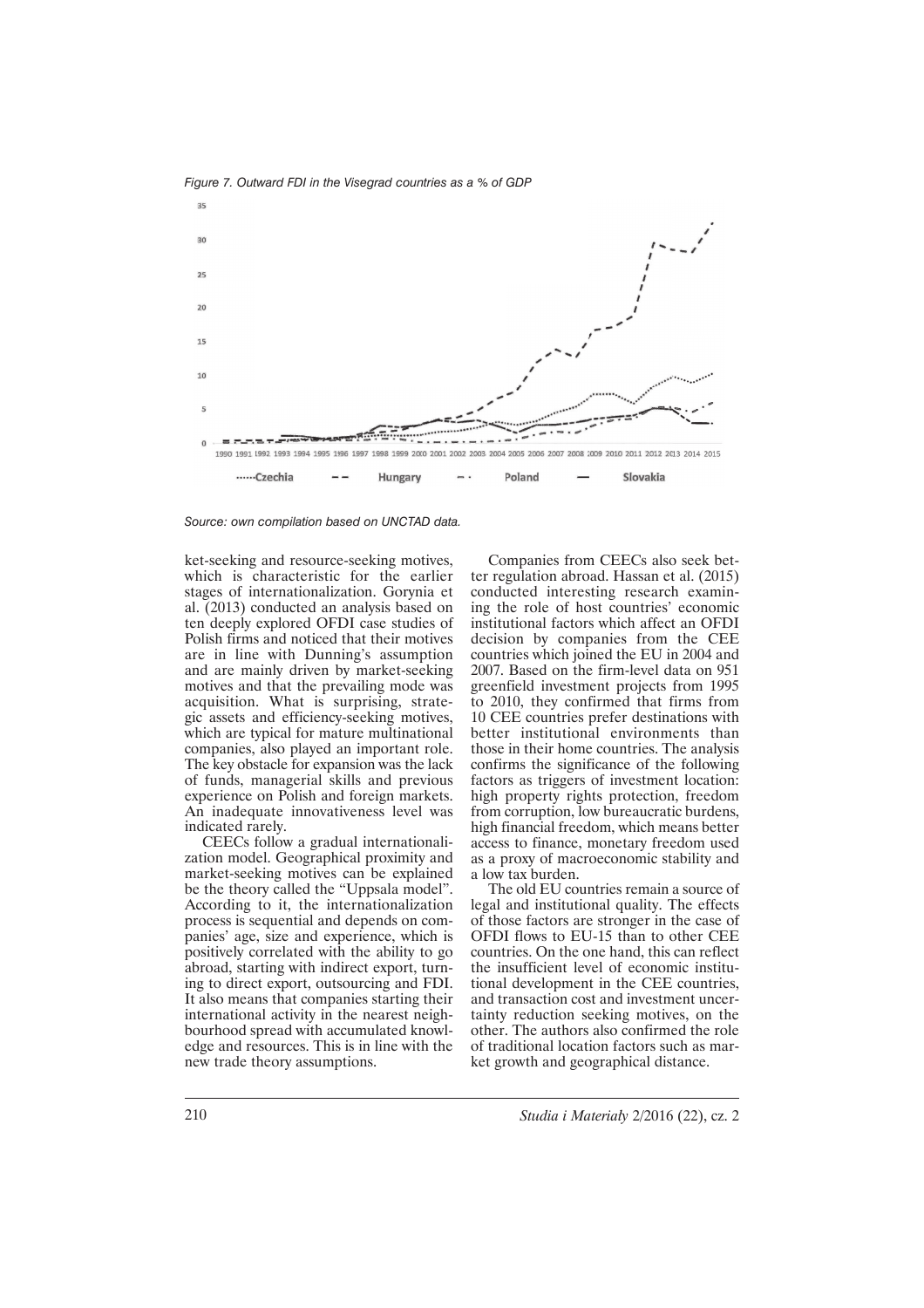

*Fig ure 7. Outward FDI in the Visegrad countries as a % of GDP*

ket-seeking and resource-seeking motives, which is characteristic for the earlier stages of internationalization. Gorynia et al. (2013) conducted an analysis based on ten deeply explored OFDI case studies of Polish firms and noticed that their motives are in line with Dunning's assumption and are mainly driven by market-seeking motives and that the prevailing mode was acquisition. What is surprising, strategic assets and efficiency-seeking motives, which are typical for mature multinational companies, also played an important role. The key obstacle for expansion was the lack of funds, managerial skills and previous experience on Polish and foreign markets. An inadequate innovativeness level was indicated rarely.

CEECs follow a gradual internationalization model. Geographical proximity and market-seeking motives can be explained be the theory called the "Uppsala model". According to it, the internationalization process is sequential and depends on companies' age, size and experience, which is positively correlated with the ability to go abroad, starting with indirect export, turning to direct export, outsourcing and FDI. It also means that companies starting their international activity in the nearest neighbourhood spread with accumulated knowledge and resources. This is in line with the new trade theory assumptions.

Companies from CEECs also seek better regulation abroad. Hassan et al. (2015) conducted interesting research examining the role of host countries' economic institutional factors which affect an OFDI decision by companies from the CEE countries which joined the EU in 2004 and 2007. Based on the firm-level data on 951 greenfield investment projects from 1995 to 2010, they confirmed that firms from 10 CEE countries prefer destinations with better institutional environments than those in their home countries. The analysis confirms the significance of the following factors as triggers of investment location: high property rights protection, freedom from corruption, low bureaucratic burdens, high financial freedom, which means better access to finance, monetary freedom used as a proxy of macroeconomic stability and a low tax burden.

The old EU countries remain a source of legal and institutional quality. The effects of those factors are stronger in the case of OFDI flows to EU-15 than to other CEE countries. On the one hand, this can reflect the insufficient level of economic institutional development in the CEE countries, and transaction cost and investment uncertainty reduction seeking motives, on the other. The authors also confirmed the role of traditional location factors such as market growth and geographical distance.

*Source: own compilation based on UNCTAD data.*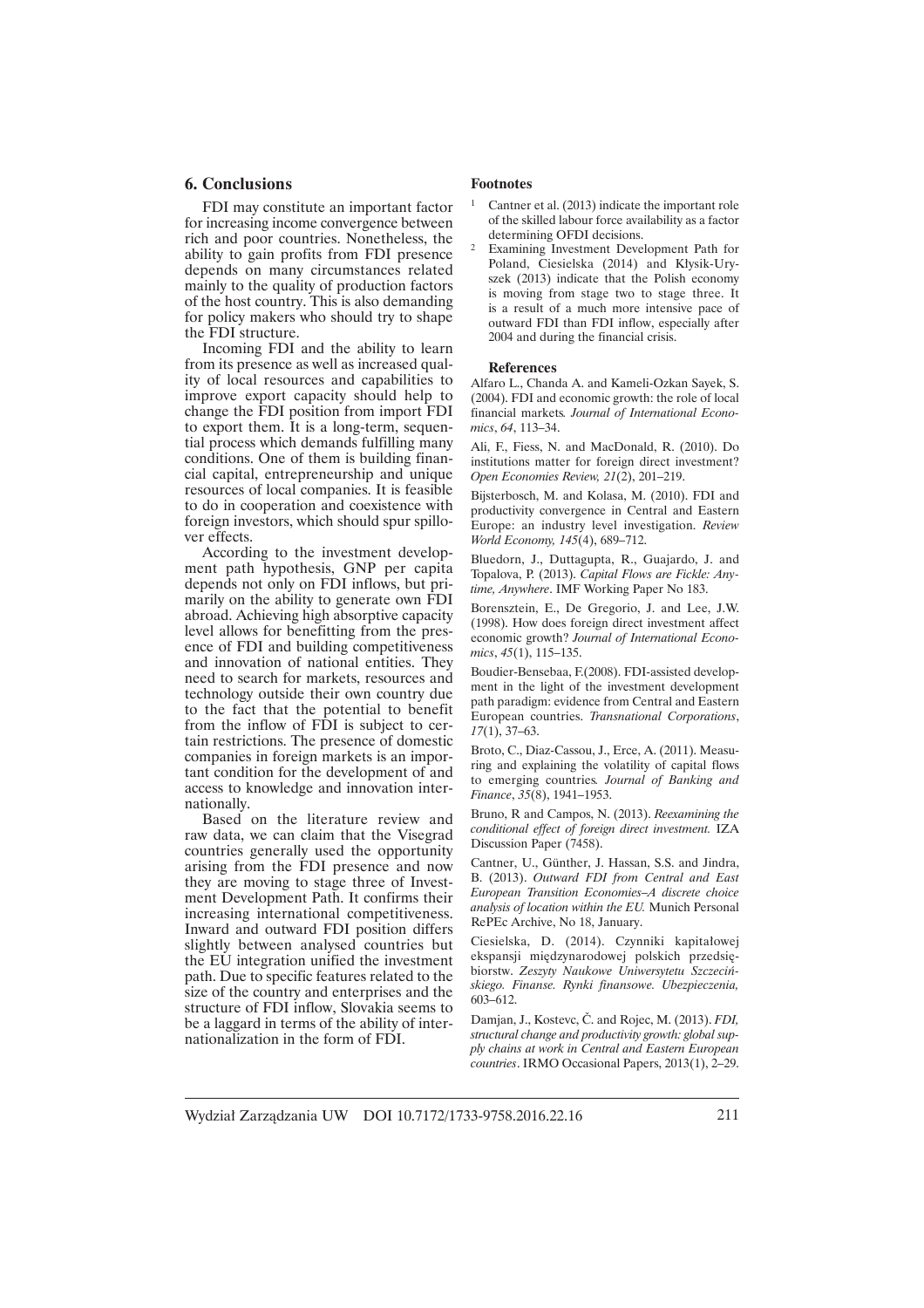### **6. Conclusions**

FDI may constitute an important factor for increasing income convergence between rich and poor countries. Nonetheless, the ability to gain profits from FDI presence depends on many circumstances related mainly to the quality of production factors of the host country. This is also demanding for policy makers who should try to shape the FDI structure.

Incoming FDI and the ability to learn from its presence as well as increased quality of local resources and capabilities to improve export capacity should help to change the FDI position from import FDI to export them. It is a long-term, sequential process which demands fulfilling many conditions. One of them is building financial capital, entrepreneurship and unique resources of local companies. It is feasible to do in cooperation and coexistence with foreign investors, which should spur spillover effects.

According to the investment development path hypothesis, GNP per capita depends not only on FDI inflows, but primarily on the ability to generate own FDI abroad. Achieving high absorptive capacity level allows for benefitting from the presence of FDI and building competitiveness and innovation of national entities. They need to search for markets, resources and technology outside their own country due to the fact that the potential to benefit from the inflow of FDI is subject to certain restrictions. The presence of domestic companies in foreign markets is an important condition for the development of and access to knowledge and innovation internationally.

Based on the literature review and raw data, we can claim that the Visegrad countries generally used the opportunity arising from the FDI presence and now they are moving to stage three of Investment Development Path. It confirms their increasing international competitiveness. Inward and outward FDI position differs slightly between analysed countries but the EU integration unified the investment path. Due to specific features related to the size of the country and enterprises and the structure of FDI inflow, Slovakia seems to be a laggard in terms of the ability of internationalization in the form of FDI.

#### **Footnotes**

- Cantner et al. (2013) indicate the important role of the skilled labour force availability as a factor determining OFDI decisions.
- <sup>2</sup> Examining Investment Development Path for Poland, Ciesielska (2014) and Kłysik-Uryszek (2013) indicate that the Polish economy is moving from stage two to stage three. It is a result of a much more intensive pace of outward FDI than FDI inflow, especially after 2004 and during the financial crisis.

#### **References**

Alfaro L., Chanda A. and Kameli-Ozkan Sayek, S. (2004). FDI and economic growth: the role of local financial markets*. Journal of International Economics*, *64*, 113–34.

Ali, F., Fiess, N. and MacDonald, R. (2010). Do institutions matter for foreign direct investment? *Open Economies Review, 21*(2), 201–219.

Bijsterbosch, M. and Kolasa, M. (2010). FDI and productivity convergence in Central and Eastern Europe: an industry level investigation. *Review World Economy, 145*(4), 689–712.

Bluedorn, J., Duttagupta, R., Guajardo, J. and Topalova, P. (2013). *Capital Flows are Fickle: Anytime, Anywhere*. IMF Working Paper No 183.

Borensztein, E., De Gregorio, J. and Lee, J.W. (1998). How does foreign direct investment affect economic growth? *Journal of International Economics*, *45*(1), 115–135.

Boudier-Bensebaa, F.(2008). FDI-assisted development in the light of the investment development path paradigm: evidence from Central and Eastern European countries. *Transnational Corporations*, *17*(1), 37–63.

Broto, C., Diaz-Cassou, J., Erce, A. (2011). Measuring and explaining the volatility of capital flows to emerging countries*. Journal of Banking and Finance*, *35*(8), 1941–1953.

Bruno, R and Campos, N. (2013). *Reexamining the conditional effect of foreign direct investment.* IZA Discussion Paper (7458).

Cantner, U., Günther, J. Hassan, S.S. and Jindra, B. (2013). *Outward FDI from Central and East European Transition Economies–A discrete choice analysis of location within the EU.* Munich Personal RePEc Archive, No 18, January.

Ciesielska, D. (2014). Czynniki kapitałowej ekspansji międzynarodowej polskich przedsiębiorstw. *Zeszyty Naukowe Uniwersytetu Szczeciñskiego. Finanse. Rynki finansowe. Ubezpieczenia,*  603–612.

Damjan, J., Kostevc, Č. and Rojec, M. (2013). *FDI*, *structural change and productivity growth: global supply chains at work in Central and Eastern European countries*. IRMO Occasional Papers, 2013(1), 2–29.